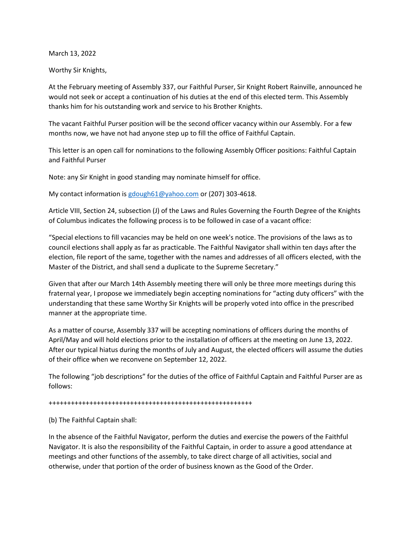March 13, 2022

Worthy Sir Knights,

At the February meeting of Assembly 337, our Faithful Purser, Sir Knight Robert Rainville, announced he would not seek or accept a continuation of his duties at the end of this elected term. This Assembly thanks him for his outstanding work and service to his Brother Knights.

The vacant Faithful Purser position will be the second officer vacancy within our Assembly. For a few months now, we have not had anyone step up to fill the office of Faithful Captain.

This letter is an open call for nominations to the following Assembly Officer positions: Faithful Captain and Faithful Purser

Note: any Sir Knight in good standing may nominate himself for office.

My contact information is [gdough61@yahoo.com](mailto:gdough61@yahoo.com) or (207) 303-4618.

Article VIII, Section 24, subsection (J) of the Laws and Rules Governing the Fourth Degree of the Knights of Columbus indicates the following process is to be followed in case of a vacant office:

"Special elections to fill vacancies may be held on one week's notice. The provisions of the laws as to council elections shall apply as far as practicable. The Faithful Navigator shall within ten days after the election, file report of the same, together with the names and addresses of all officers elected, with the Master of the District, and shall send a duplicate to the Supreme Secretary."

Given that after our March 14th Assembly meeting there will only be three more meetings during this fraternal year, I propose we immediately begin accepting nominations for "acting duty officers" with the understanding that these same Worthy Sir Knights will be properly voted into office in the prescribed manner at the appropriate time.

As a matter of course, Assembly 337 will be accepting nominations of officers during the months of April/May and will hold elections prior to the installation of officers at the meeting on June 13, 2022. After our typical hiatus during the months of July and August, the elected officers will assume the duties of their office when we reconvene on September 12, 2022.

The following "job descriptions" for the duties of the office of Faithful Captain and Faithful Purser are as follows:

+++++++++++++++++++++++++++++++++++++++++++++++++++++++

(b) The Faithful Captain shall:

In the absence of the Faithful Navigator, perform the duties and exercise the powers of the Faithful Navigator. It is also the responsibility of the Faithful Captain, in order to assure a good attendance at meetings and other functions of the assembly, to take direct charge of all activities, social and otherwise, under that portion of the order of business known as the Good of the Order.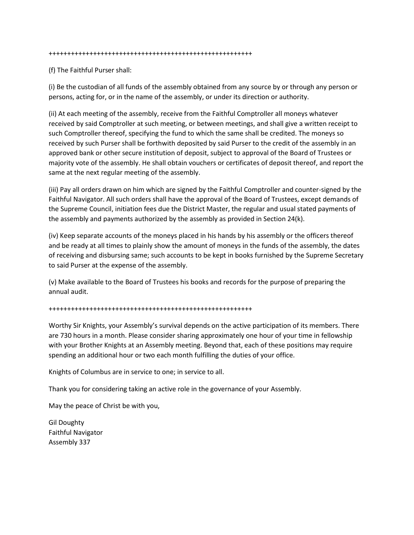#### +++++++++++++++++++++++++++++++++++++++++++++++++++++++

(f) The Faithful Purser shall:

(i) Be the custodian of all funds of the assembly obtained from any source by or through any person or persons, acting for, or in the name of the assembly, or under its direction or authority.

(ii) At each meeting of the assembly, receive from the Faithful Comptroller all moneys whatever received by said Comptroller at such meeting, or between meetings, and shall give a written receipt to such Comptroller thereof, specifying the fund to which the same shall be credited. The moneys so received by such Purser shall be forthwith deposited by said Purser to the credit of the assembly in an approved bank or other secure institution of deposit, subject to approval of the Board of Trustees or majority vote of the assembly. He shall obtain vouchers or certificates of deposit thereof, and report the same at the next regular meeting of the assembly.

(iii) Pay all orders drawn on him which are signed by the Faithful Comptroller and counter-signed by the Faithful Navigator. All such orders shall have the approval of the Board of Trustees, except demands of the Supreme Council, initiation fees due the District Master, the regular and usual stated payments of the assembly and payments authorized by the assembly as provided in Section 24(k).

(iv) Keep separate accounts of the moneys placed in his hands by his assembly or the officers thereof and be ready at all times to plainly show the amount of moneys in the funds of the assembly, the dates of receiving and disbursing same; such accounts to be kept in books furnished by the Supreme Secretary to said Purser at the expense of the assembly.

(v) Make available to the Board of Trustees his books and records for the purpose of preparing the annual audit.

+++++++++++++++++++++++++++++++++++++++++++++++++++++++

Worthy Sir Knights, your Assembly's survival depends on the active participation of its members. There are 730 hours in a month. Please consider sharing approximately one hour of your time in fellowship with your Brother Knights at an Assembly meeting. Beyond that, each of these positions may require spending an additional hour or two each month fulfilling the duties of your office.

Knights of Columbus are in service to one; in service to all.

Thank you for considering taking an active role in the governance of your Assembly.

May the peace of Christ be with you,

Gil Doughty Faithful Navigator Assembly 337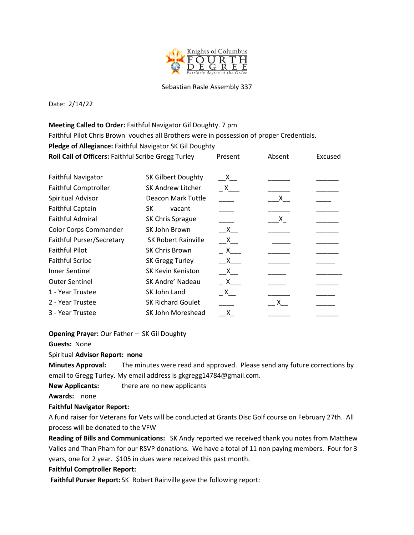

### Sebastian Rasle Assembly 337

Date: 2/14/22

**Meeting Called to Order:** Faithful Navigator Gil Doughty. 7 pm Faithful Pilot Chris Brown vouches all Brothers were in possession of proper Credentials. **Pledge of Allegiance:** Faithful Navigator SK Gil Doughty **Roll Call of Officers:** Faithful Scribe Gregg Turley Present Absent Excused

| <b>Faithful Navigator</b>    | SK Gilbert Doughty         | $\mathsf{X}$   |                |  |
|------------------------------|----------------------------|----------------|----------------|--|
| <b>Faithful Comptroller</b>  | <b>SK Andrew Litcher</b>   | $\mathsf{X}$   |                |  |
| Spiritual Advisor            | Deacon Mark Tuttle         |                | $\mathsf{x}\_$ |  |
| <b>Faithful Captain</b>      | SK<br>vacant               |                |                |  |
| <b>Faithful Admiral</b>      | SK Chris Sprague           |                | $X_{-}$        |  |
| <b>Color Corps Commander</b> | SK John Brown              | $\mathsf{X}$   |                |  |
| Faithful Purser/Secretary    | <b>SK Robert Rainville</b> | $X_{-}$        |                |  |
| <b>Faithful Pilot</b>        | <b>SK Chris Brown</b>      | $\overline{X}$ |                |  |
| <b>Faithful Scribe</b>       | SK Gregg Turley            | $\mathsf{X}$   |                |  |
| Inner Sentinel               | <b>SK Kevin Keniston</b>   | $X_{-}$        |                |  |
| <b>Outer Sentinel</b>        | SK Andre' Nadeau           | $\mathsf{X}$   |                |  |
| 1 - Year Trustee             | SK John Land               | $X_{-}$        |                |  |
| 2 - Year Trustee             | <b>SK Richard Goulet</b>   |                | $\mathsf{X}$   |  |
| 3 - Year Trustee             | SK John Moreshead          | X.             |                |  |

**Opening Prayer:** Our Father – SK Gil Doughty

**Guests:** None

### Spiritual **Advisor Report: none**

**Minutes Approval:** The minutes were read and approved. Please send any future corrections by email to Gregg Turley. My email address is gkgregg14784@gmail.com.

**New Applicants:** there are no new applicants

**Awards:** none

### **Faithful Navigator Report:**

A fund raiser for Veterans for Vets will be conducted at Grants Disc Golf course on February 27th. All process will be donated to the VFW

**Reading of Bills and Communications:** SK Andy reported we received thank you notes from Matthew Valles and Than Pham for our RSVP donations. We have a total of 11 non paying members. Four for 3 years, one for 2 year. \$105 in dues were received this past month.

### **Faithful Comptroller Report:**

**Faithful Purser Report:** SK Robert Rainville gave the following report: